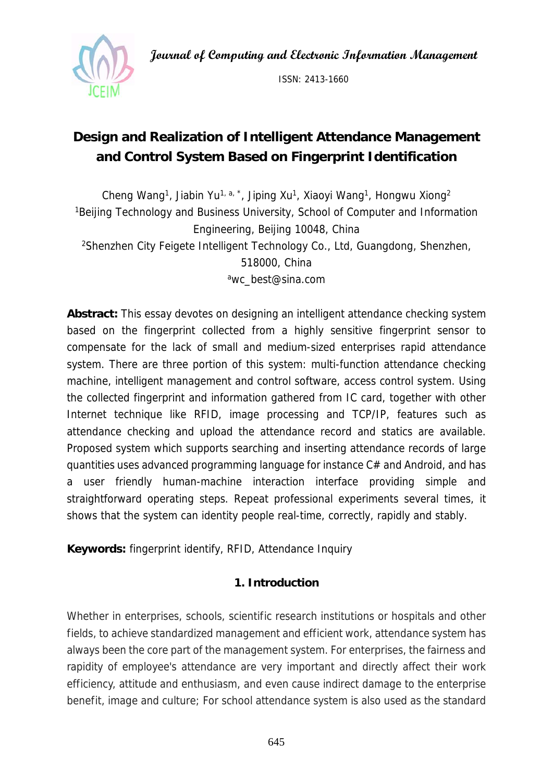**Journal of Computing and Electronic Information Management** 



ISSN: 2413-1660

# **Design and Realization of Intelligent Attendance Management and Control System Based on Fingerprint Identification**

Cheng Wang<sup>1</sup>, Jiabin Yu<sup>1, a, \*</sup>, Jiping Xu<sup>1</sup>, Xiaoyi Wang<sup>1</sup>, Hongwu Xiong<sup>2</sup> <sup>1</sup>Beijing Technology and Business University, School of Computer and Information Engineering, Beijing 10048, China 2Shenzhen City Feigete Intelligent Technology Co., Ltd, Guangdong, Shenzhen, 518000, China awc\_best@sina.com

**Abstract:** This essay devotes on designing an intelligent attendance checking system based on the fingerprint collected from a highly sensitive fingerprint sensor to compensate for the lack of small and medium-sized enterprises rapid attendance system. There are three portion of this system: multi-function attendance checking machine, intelligent management and control software, access control system. Using the collected fingerprint and information gathered from IC card, together with other Internet technique like RFID, image processing and TCP/IP, features such as attendance checking and upload the attendance record and statics are available. Proposed system which supports searching and inserting attendance records of large quantities uses advanced programming language for instance C# and Android, and has a user friendly human-machine interaction interface providing simple and straightforward operating steps. Repeat professional experiments several times, it shows that the system can identity people real-time, correctly, rapidly and stably.

**Keywords:** fingerprint identify, RFID, Attendance Inquiry

## **1. Introduction**

Whether in enterprises, schools, scientific research institutions or hospitals and other fields, to achieve standardized management and efficient work, attendance system has always been the core part of the management system. For enterprises, the fairness and rapidity of employee's attendance are very important and directly affect their work efficiency, attitude and enthusiasm, and even cause indirect damage to the enterprise benefit, image and culture; For school attendance system is also used as the standard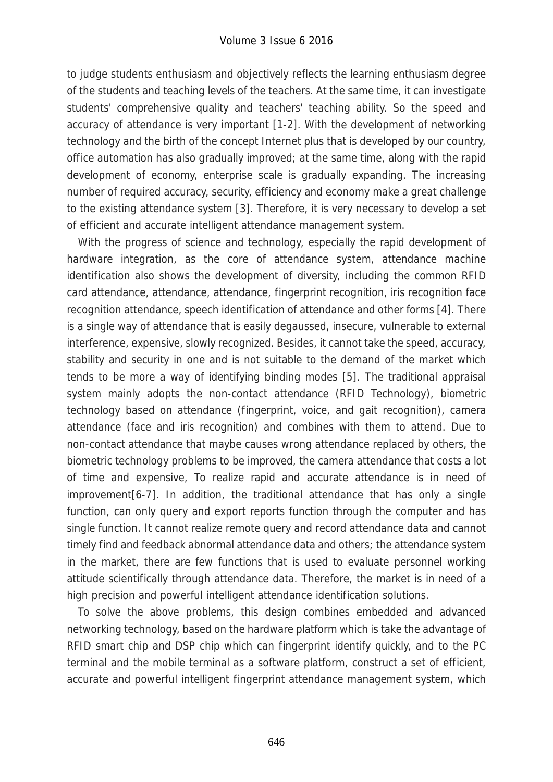to judge students enthusiasm and objectively reflects the learning enthusiasm degree of the students and teaching levels of the teachers. At the same time, it can investigate students' comprehensive quality and teachers' teaching ability. So the speed and accuracy of attendance is very important [1-2]. With the development of networking technology and the birth of the concept Internet plus that is developed by our country, office automation has also gradually improved; at the same time, along with the rapid development of economy, enterprise scale is gradually expanding. The increasing number of required accuracy, security, efficiency and economy make a great challenge to the existing attendance system [3]. Therefore, it is very necessary to develop a set of efficient and accurate intelligent attendance management system.

With the progress of science and technology, especially the rapid development of hardware integration, as the core of attendance system, attendance machine identification also shows the development of diversity, including the common RFID card attendance, attendance, attendance, fingerprint recognition, iris recognition face recognition attendance, speech identification of attendance and other forms [4]. There is a single way of attendance that is easily degaussed, insecure, vulnerable to external interference, expensive, slowly recognized. Besides, it cannot take the speed, accuracy, stability and security in one and is not suitable to the demand of the market which tends to be more a way of identifying binding modes [5]. The traditional appraisal system mainly adopts the non-contact attendance (RFID Technology), biometric technology based on attendance (fingerprint, voice, and gait recognition), camera attendance (face and iris recognition) and combines with them to attend. Due to non-contact attendance that maybe causes wrong attendance replaced by others, the biometric technology problems to be improved, the camera attendance that costs a lot of time and expensive, To realize rapid and accurate attendance is in need of improvement[6-7]. In addition, the traditional attendance that has only a single function, can only query and export reports function through the computer and has single function. It cannot realize remote query and record attendance data and cannot timely find and feedback abnormal attendance data and others; the attendance system in the market, there are few functions that is used to evaluate personnel working attitude scientifically through attendance data. Therefore, the market is in need of a high precision and powerful intelligent attendance identification solutions.

To solve the above problems, this design combines embedded and advanced networking technology, based on the hardware platform which is take the advantage of RFID smart chip and DSP chip which can fingerprint identify quickly, and to the PC terminal and the mobile terminal as a software platform, construct a set of efficient, accurate and powerful intelligent fingerprint attendance management system, which

646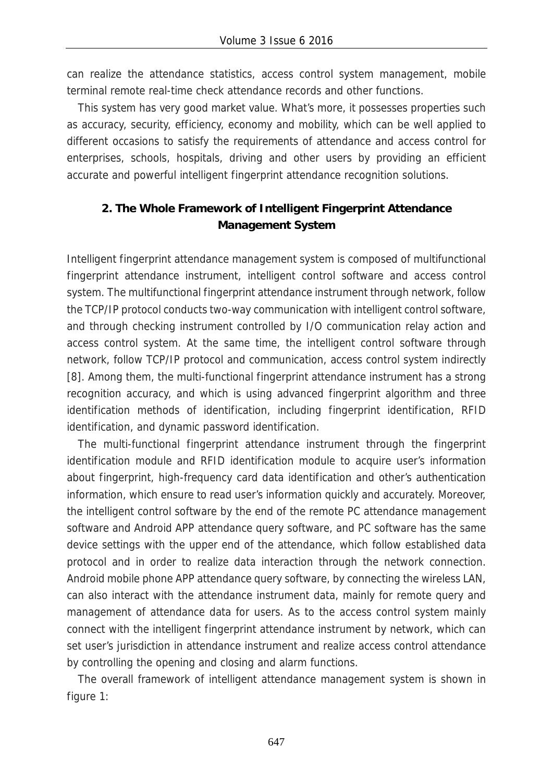can realize the attendance statistics, access control system management, mobile terminal remote real-time check attendance records and other functions.

This system has very good market value. What's more, it possesses properties such as accuracy, security, efficiency, economy and mobility, which can be well applied to different occasions to satisfy the requirements of attendance and access control for enterprises, schools, hospitals, driving and other users by providing an efficient accurate and powerful intelligent fingerprint attendance recognition solutions.

## **2. The Whole Framework of Intelligent Fingerprint Attendance Management System**

Intelligent fingerprint attendance management system is composed of multifunctional fingerprint attendance instrument, intelligent control software and access control system. The multifunctional fingerprint attendance instrument through network, follow the TCP/IP protocol conducts two-way communication with intelligent control software, and through checking instrument controlled by I/O communication relay action and access control system. At the same time, the intelligent control software through network, follow TCP/IP protocol and communication, access control system indirectly [8]. Among them, the multi-functional fingerprint attendance instrument has a strong recognition accuracy, and which is using advanced fingerprint algorithm and three identification methods of identification, including fingerprint identification, RFID identification, and dynamic password identification.

The multi-functional fingerprint attendance instrument through the fingerprint identification module and RFID identification module to acquire user's information about fingerprint, high-frequency card data identification and other's authentication information, which ensure to read user's information quickly and accurately. Moreover, the intelligent control software by the end of the remote PC attendance management software and Android APP attendance query software, and PC software has the same device settings with the upper end of the attendance, which follow established data protocol and in order to realize data interaction through the network connection. Android mobile phone APP attendance query software, by connecting the wireless LAN, can also interact with the attendance instrument data, mainly for remote query and management of attendance data for users. As to the access control system mainly connect with the intelligent fingerprint attendance instrument by network, which can set user's jurisdiction in attendance instrument and realize access control attendance by controlling the opening and closing and alarm functions.

The overall framework of intelligent attendance management system is shown in figure 1: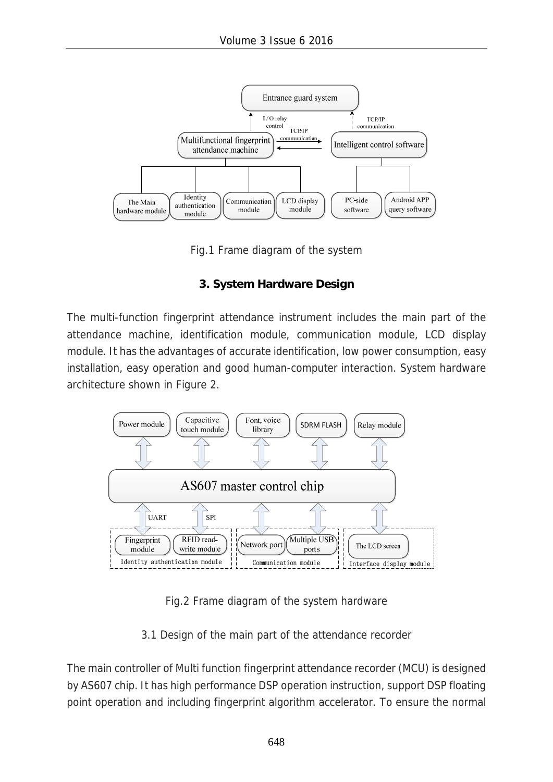

Fig.1 Frame diagram of the system

## **3. System Hardware Design**

The multi-function fingerprint attendance instrument includes the main part of the attendance machine, identification module, communication module, LCD display module. It has the advantages of accurate identification, low power consumption, easy installation, easy operation and good human-computer interaction. System hardware architecture shown in Figure 2.



Fig.2 Frame diagram of the system hardware

3.1 Design of the main part of the attendance recorder

The main controller of Multi function fingerprint attendance recorder (MCU) is designed by AS607 chip. It has high performance DSP operation instruction, support DSP floating point operation and including fingerprint algorithm accelerator. To ensure the normal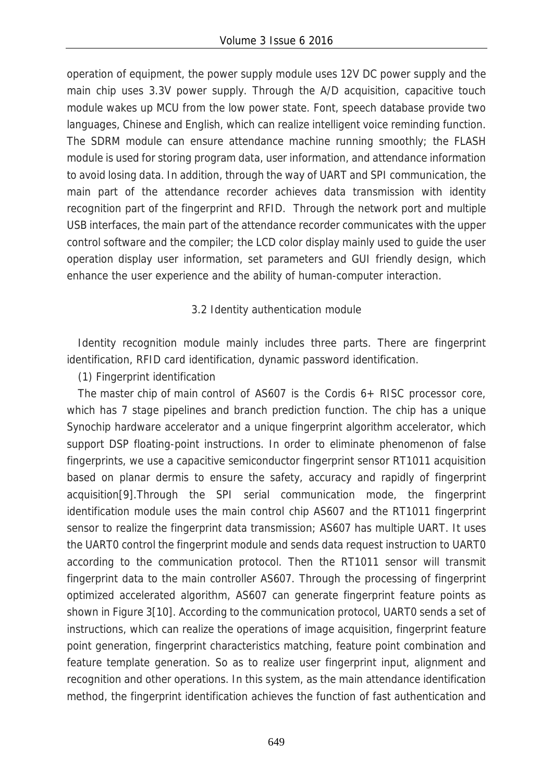operation of equipment, the power supply module uses 12V DC power supply and the main chip uses 3.3V power supply. Through the A/D acquisition, capacitive touch module wakes up MCU from the low power state. Font, speech database provide two languages, Chinese and English, which can realize intelligent voice reminding function. The SDRM module can ensure attendance machine running smoothly; the FLASH module is used for storing program data, user information, and attendance information to avoid losing data. In addition, through the way of UART and SPI communication, the main part of the attendance recorder achieves data transmission with identity recognition part of the fingerprint and RFID. Through the network port and multiple USB interfaces, the main part of the attendance recorder communicates with the upper control software and the compiler; the LCD color display mainly used to guide the user operation display user information, set parameters and GUI friendly design, which enhance the user experience and the ability of human-computer interaction.

## 3.2 Identity authentication module

Identity recognition module mainly includes three parts. There are fingerprint identification, RFID card identification, dynamic password identification.

(1) Fingerprint identification

The master chip of main control of AS607 is the Cordis 6+ RISC processor core, which has 7 stage pipelines and branch prediction function. The chip has a unique Synochip hardware accelerator and a unique fingerprint algorithm accelerator, which support DSP floating-point instructions. In order to eliminate phenomenon of false fingerprints, we use a capacitive semiconductor fingerprint sensor RT1011 acquisition based on planar dermis to ensure the safety, accuracy and rapidly of fingerprint acquisition[9].Through the SPI serial communication mode, the fingerprint identification module uses the main control chip AS607 and the RT1011 fingerprint sensor to realize the fingerprint data transmission; AS607 has multiple UART. It uses the UART0 control the fingerprint module and sends data request instruction to UART0 according to the communication protocol. Then the RT1011 sensor will transmit fingerprint data to the main controller AS607. Through the processing of fingerprint optimized accelerated algorithm, AS607 can generate fingerprint feature points as shown in Figure 3[10]. According to the communication protocol, UART0 sends a set of instructions, which can realize the operations of image acquisition, fingerprint feature point generation, fingerprint characteristics matching, feature point combination and feature template generation. So as to realize user fingerprint input, alignment and recognition and other operations. In this system, as the main attendance identification method, the fingerprint identification achieves the function of fast authentication and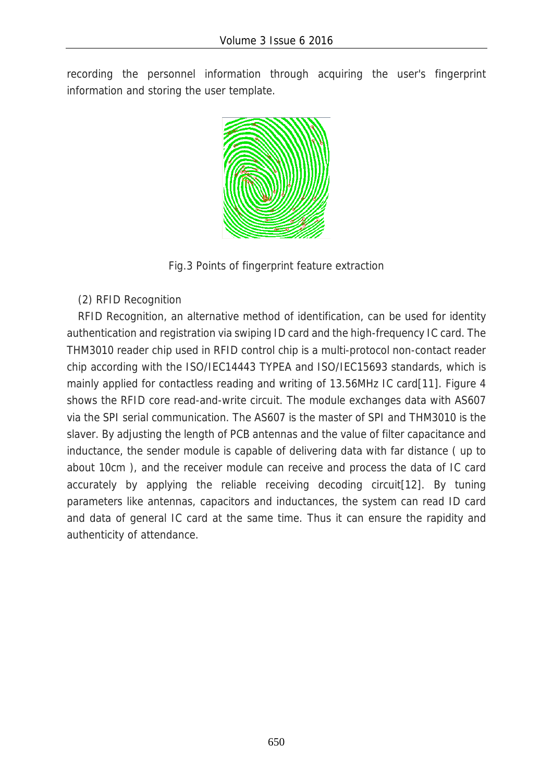recording the personnel information through acquiring the user's fingerprint information and storing the user template.



Fig.3 Points of fingerprint feature extraction

(2) RFID Recognition

RFID Recognition, an alternative method of identification, can be used for identity authentication and registration via swiping ID card and the high-frequency IC card. The THM3010 reader chip used in RFID control chip is a multi-protocol non-contact reader chip according with the ISO/IEC14443 TYPEA and ISO/IEC15693 standards, which is mainly applied for contactless reading and writing of 13.56MHz IC card[11]. Figure 4 shows the RFID core read-and-write circuit. The module exchanges data with AS607 via the SPI serial communication. The AS607 is the master of SPI and THM3010 is the slaver. By adjusting the length of PCB antennas and the value of filter capacitance and inductance, the sender module is capable of delivering data with far distance ( up to about 10cm ), and the receiver module can receive and process the data of IC card accurately by applying the reliable receiving decoding circuit[12]. By tuning parameters like antennas, capacitors and inductances, the system can read ID card and data of general IC card at the same time. Thus it can ensure the rapidity and authenticity of attendance.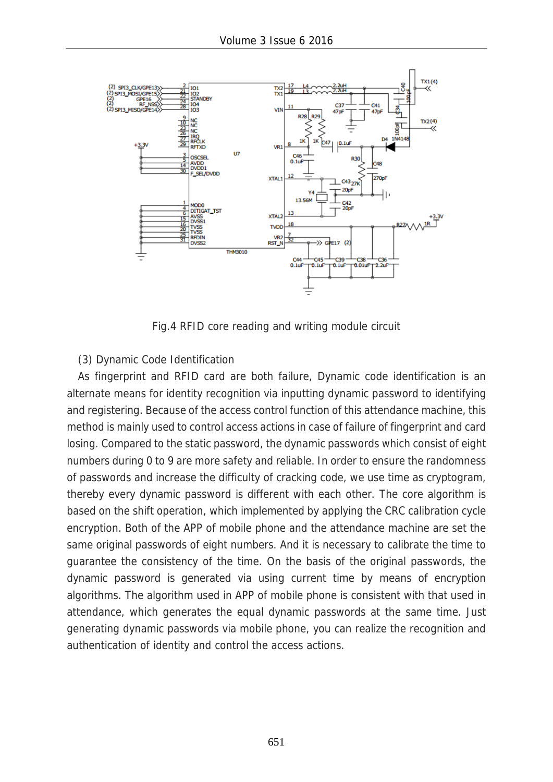

Fig.4 RFID core reading and writing module circuit

#### (3) Dynamic Code Identification

As fingerprint and RFID card are both failure, Dynamic code identification is an alternate means for identity recognition via inputting dynamic password to identifying and registering. Because of the access control function of this attendance machine, this method is mainly used to control access actions in case of failure of fingerprint and card losing. Compared to the static password, the dynamic passwords which consist of eight numbers during 0 to 9 are more safety and reliable. In order to ensure the randomness of passwords and increase the difficulty of cracking code, we use time as cryptogram, thereby every dynamic password is different with each other. The core algorithm is based on the shift operation, which implemented by applying the CRC calibration cycle encryption. Both of the APP of mobile phone and the attendance machine are set the same original passwords of eight numbers. And it is necessary to calibrate the time to guarantee the consistency of the time. On the basis of the original passwords, the dynamic password is generated via using current time by means of encryption algorithms. The algorithm used in APP of mobile phone is consistent with that used in attendance, which generates the equal dynamic passwords at the same time. Just generating dynamic passwords via mobile phone, you can realize the recognition and authentication of identity and control the access actions.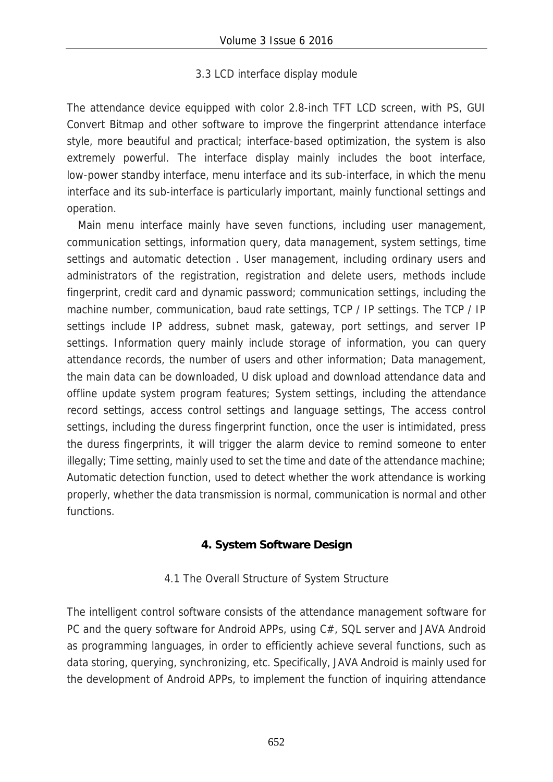#### 3.3 LCD interface display module

The attendance device equipped with color 2.8-inch TFT LCD screen, with PS, GUI Convert Bitmap and other software to improve the fingerprint attendance interface style, more beautiful and practical; interface-based optimization, the system is also extremely powerful. The interface display mainly includes the boot interface, low-power standby interface, menu interface and its sub-interface, in which the menu interface and its sub-interface is particularly important, mainly functional settings and operation.

Main menu interface mainly have seven functions, including user management, communication settings, information query, data management, system settings, time settings and automatic detection . User management, including ordinary users and administrators of the registration, registration and delete users, methods include fingerprint, credit card and dynamic password; communication settings, including the machine number, communication, baud rate settings, TCP / IP settings. The TCP / IP settings include IP address, subnet mask, gateway, port settings, and server IP settings. Information query mainly include storage of information, you can query attendance records, the number of users and other information; Data management, the main data can be downloaded, U disk upload and download attendance data and offline update system program features; System settings, including the attendance record settings, access control settings and language settings, The access control settings, including the duress fingerprint function, once the user is intimidated, press the duress fingerprints, it will trigger the alarm device to remind someone to enter illegally; Time setting, mainly used to set the time and date of the attendance machine; Automatic detection function, used to detect whether the work attendance is working properly, whether the data transmission is normal, communication is normal and other functions.

## **4. System Software Design**

## 4.1 The Overall Structure of System Structure

The intelligent control software consists of the attendance management software for PC and the query software for Android APPs, using C#, SQL server and JAVA Android as programming languages, in order to efficiently achieve several functions, such as data storing, querying, synchronizing, etc. Specifically, JAVA Android is mainly used for the development of Android APPs, to implement the function of inquiring attendance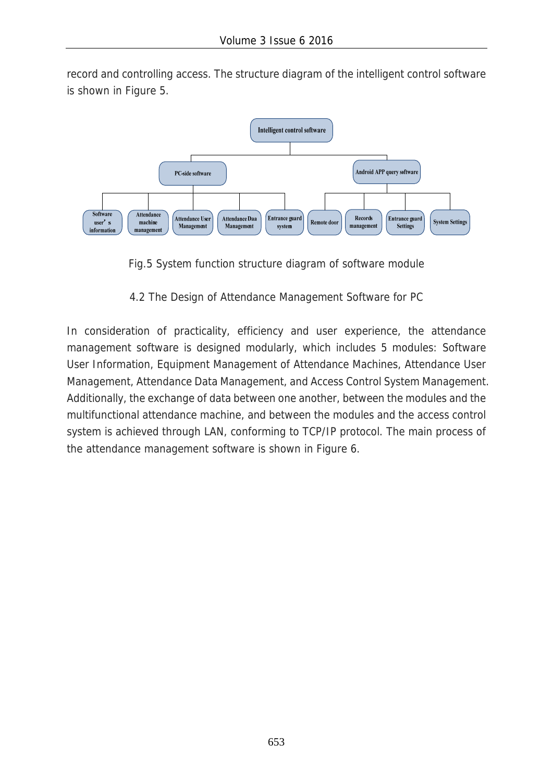record and controlling access. The structure diagram of the intelligent control software is shown in Figure 5.



Fig.5 System function structure diagram of software module

4.2 The Design of Attendance Management Software for PC

In consideration of practicality, efficiency and user experience, the attendance management software is designed modularly, which includes 5 modules: Software User Information, Equipment Management of Attendance Machines, Attendance User Management, Attendance Data Management, and Access Control System Management. Additionally, the exchange of data between one another, between the modules and the multifunctional attendance machine, and between the modules and the access control system is achieved through LAN, conforming to TCP/IP protocol. The main process of the attendance management software is shown in Figure 6.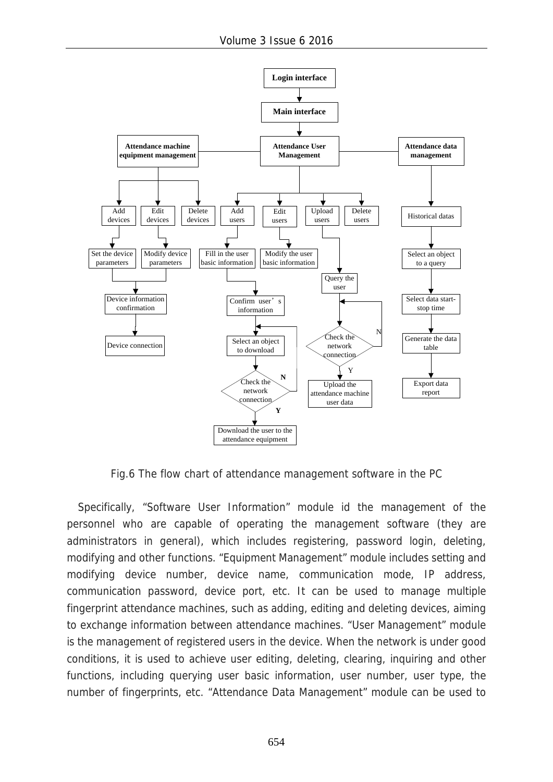![](_page_9_Figure_1.jpeg)

Fig.6 The flow chart of attendance management software in the PC

Specifically, "Software User Information" module id the management of the personnel who are capable of operating the management software (they are administrators in general), which includes registering, password login, deleting, modifying and other functions. "Equipment Management" module includes setting and modifying device number, device name, communication mode, IP address, communication password, device port, etc. It can be used to manage multiple fingerprint attendance machines, such as adding, editing and deleting devices, aiming to exchange information between attendance machines. "User Management" module is the management of registered users in the device. When the network is under good conditions, it is used to achieve user editing, deleting, clearing, inquiring and other functions, including querying user basic information, user number, user type, the number of fingerprints, etc. "Attendance Data Management" module can be used to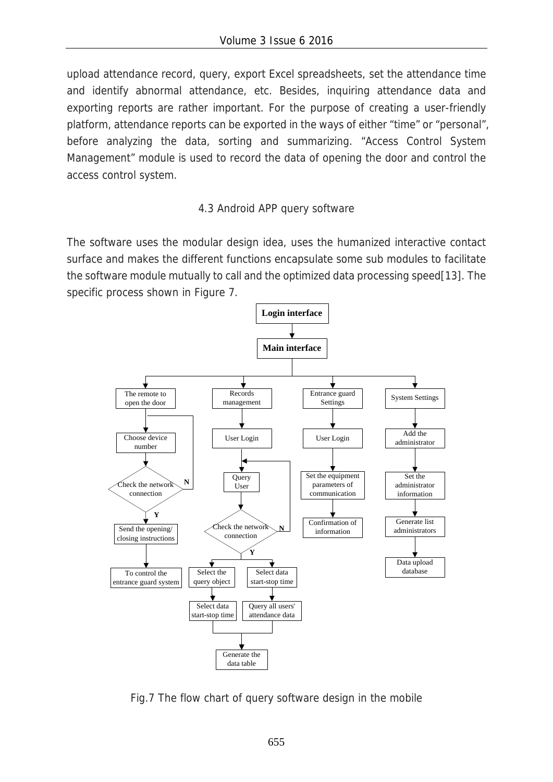upload attendance record, query, export Excel spreadsheets, set the attendance time and identify abnormal attendance, etc. Besides, inquiring attendance data and exporting reports are rather important. For the purpose of creating a user-friendly platform, attendance reports can be exported in the ways of either "time" or "personal", before analyzing the data, sorting and summarizing. "Access Control System Management" module is used to record the data of opening the door and control the access control system.

## 4.3 Android APP query software

The software uses the modular design idea, uses the humanized interactive contact surface and makes the different functions encapsulate some sub modules to facilitate the software module mutually to call and the optimized data processing speed[13]. The specific process shown in Figure 7.

![](_page_10_Figure_4.jpeg)

Fig.7 The flow chart of query software design in the mobile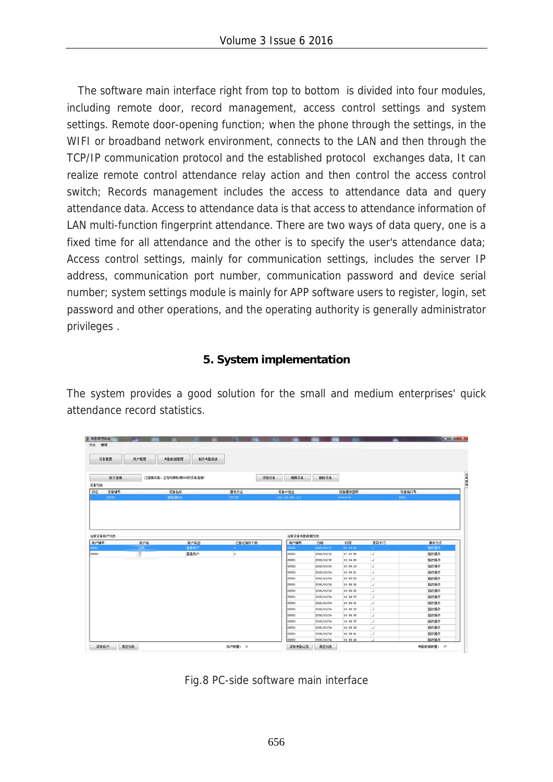The software main interface right from top to bottom is divided into four modules, including remote door, record management, access control settings and system settings. Remote door-opening function; when the phone through the settings, in the WIFI or broadband network environment, connects to the LAN and then through the TCP/IP communication protocol and the established protocol exchanges data, It can realize remote control attendance relay action and then control the access control switch; Records management includes the access to attendance data and query attendance data. Access to attendance data is that access to attendance information of LAN multi-function fingerprint attendance. There are two ways of data query, one is a fixed time for all attendance and the other is to specify the user's attendance data; Access control settings, mainly for communication settings, includes the server IP address, communication port number, communication password and device serial number; system settings module is mainly for APP software users to register, login, set password and other operations, and the operating authority is generally administrator privileges .

#### **5. System implementation**

The system provides a good solution for the small and medium enterprises' quick attendance record statistics.

| 文件 管理              |      |                         |         |                 |                          |                      |        |              |  |
|--------------------|------|-------------------------|---------|-----------------|--------------------------|----------------------|--------|--------------|--|
| 设备管理               | 用户管理 | <b>为勤款据管理</b><br>制作考勤报表 |         |                 |                          |                      |        |              |  |
| 断开连接               |      | 已连接设备,正在与耕耘格600的设备连接!   |         | 适加设备<br>编辑设备    | 删除设备                     |                      |        |              |  |
| 设备列表<br>扰态<br>设备编号 |      | 设备名称                    | 通讯方式    | 设备IP地址          |                          | 设备通讯密码               |        | 设备编口号        |  |
| 65535              |      | 横転帯606                  | TCF/TF  | 192 168 001 111 |                          | ********             |        | 8000         |  |
| 用户编号               | 用户名  | 用户类型<br>福通用户            | 已登记指纹个数 | 用户编号            | 日期                       | 时间                   | 是否开门   | 操作方式         |  |
| 00001              |      |                         |         |                 |                          |                      |        |              |  |
|                    |      |                         |         | 3000            | 2016/10/11               | 22:44:23             | J.     | 指纹操作         |  |
|                    |      | 普通用户                    | ls.     | 00001           | 2016/10/12               | 17:43:58             | s      | 指纹操作         |  |
| 00002              |      |                         |         | locoot          | 2016/10/12               | 18:04:20             | st     | 指纹操作         |  |
|                    |      |                         |         | 00002           | 2016/10/24               | 19:39:18             | ũ      | 指纹操作         |  |
|                    |      |                         |         | lococe          | 2016/10/24               | 19:39:21             | J      | 指纹操作         |  |
|                    |      |                         |         | 00001           | 2016/10/24               | 19:39:23             | s      | 指纹操作         |  |
|                    |      |                         |         | locoot          | 2016/10/24               | 19:39:24             | st.    | 指纹操作         |  |
|                    |      |                         |         | 00002           | 2016/10/24               | 19:39:26             | ũ      | 指纹操作         |  |
|                    |      |                         |         | 00001           | 2016/10/24               | 19:39:27             | s      | 指纹操作         |  |
|                    |      |                         |         | 00001           | 2016/10/24               | 19:39:31             | s      | 指纹操作         |  |
|                    |      |                         |         | 00002           | 2016/10/24               | 19:39:33             | s      | 指纹操作         |  |
|                    |      |                         |         | 00001           | 2016/10/24               | 19:39:35             | st     | 指纹操作         |  |
|                    |      |                         |         | 00002           | 2016/10/24               | 19:39:37             | s      | 指纹操作         |  |
|                    |      |                         |         | 00001           | 2016/10/24               | 19:39:30             | st     | 指纹操作         |  |
|                    |      |                         |         | 00001<br>00002  | 2016/10/24<br>2016/10/24 | 19:39:41<br>19:39:43 | s<br>J | 指纹操作<br>指纹操作 |  |

![](_page_11_Figure_5.jpeg)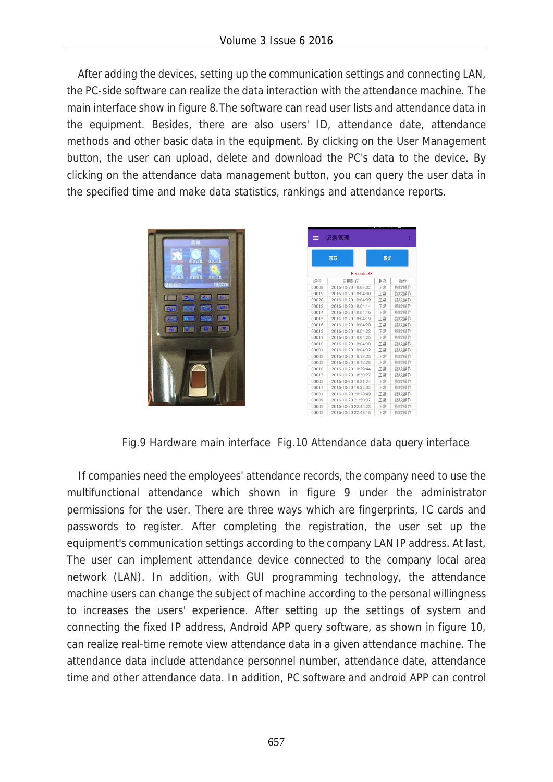After adding the devices, setting up the communication settings and connecting LAN, the PC-side software can realize the data interaction with the attendance machine. The main interface show in figure 8.The software can read user lists and attendance data in the equipment. Besides, there are also users' ID, attendance date, attendance methods and other basic data in the equipment. By clicking on the User Management button, the user can upload, delete and download the PC's data to the device. By clicking on the attendance data management button, you can query the user data in the specified time and make data statistics, rankings and attendance reports.

| q<br>x.<br><b>雌族OK</b><br>ю<br>550                                                                                                                                                 |  |
|------------------------------------------------------------------------------------------------------------------------------------------------------------------------------------|--|
| <b>12.5 Red</b><br><b>ESC</b><br>$\mathbf{R}$<br>医糖<br><b>LEWIS</b><br>8.59<br>E BM<br><b>B</b> -<br>$\sigma_{\rm eff}$<br>Œ<br>7354<br><b>TASK RESIDENT</b><br>気の深<br><b>INC.</b> |  |
|                                                                                                                                                                                    |  |

| =          | 记录管理                |    | š    |  |  |  |  |  |
|------------|---------------------|----|------|--|--|--|--|--|
|            | 获取                  | 查询 |      |  |  |  |  |  |
| Records:88 |                     |    |      |  |  |  |  |  |
| 编号         | 日期时间                | 状态 | 操作   |  |  |  |  |  |
| 00008      | 2016-10-20 18:03:02 | 正常 | 指纹操作 |  |  |  |  |  |
| 00019      | 2016-10-20 18:04:00 | 正常 | 指纹操作 |  |  |  |  |  |
| 00020      | 2016-10-20 18:04:09 | 正常 | 指纹操作 |  |  |  |  |  |
| 00013      | 2016-10-20 18:04:14 | 正常 | 指纹操作 |  |  |  |  |  |
| 00014      | 2016-10-20 18:04:16 | 正常 | 指纹操作 |  |  |  |  |  |
| 00015      | 2016-10-20 18:04:19 | 正常 | 指纹操作 |  |  |  |  |  |
| 00016      | 2016-10-20 18:04:20 | 正常 | 指纹操作 |  |  |  |  |  |
| 00012      | 2016-10-20 18:04:23 | 正常 | 指纹操作 |  |  |  |  |  |
| 00011      | 2016-10-20 18:04:25 | 正常 | 指纹操作 |  |  |  |  |  |
| 00010      | 2016-10-20 18:04:30 | 正常 | 指纹操作 |  |  |  |  |  |
| 00001      | 2016-10-20 18:04:32 | 正常 | 指纹操作 |  |  |  |  |  |
| 00002      | 2016-10-20 18:12:25 | 正常 | 指纹操作 |  |  |  |  |  |
| 00002      | 2016-10-20 18:12:28 | 正常 | 指纹操作 |  |  |  |  |  |
| 00018      | 2016-10-20 18:29:44 | 正常 | 指纹操作 |  |  |  |  |  |
| 00017      | 2016-10-20 18:30:27 | 正常 | 指纹操作 |  |  |  |  |  |
| 00002      | 2016-10-20 18:31:24 | 正常 | 指纹操作 |  |  |  |  |  |
| 00017      | 2016-10-20 18:32:33 | 正常 | 指纹操作 |  |  |  |  |  |
| 00001      | 2016-10-20 20:28:49 | 正常 | 指纹操作 |  |  |  |  |  |
| 00009      | 2016-10-20 21:50:07 | 正常 | 指纹操作 |  |  |  |  |  |
| 00002      | 2016-10-20 22:44:23 | 正常 | 指纹操作 |  |  |  |  |  |
| 00002      | 2016-10-20 22:48:15 | 正常 | 指纹操作 |  |  |  |  |  |

Fig.9 Hardware main interface Fig.10 Attendance data query interface

If companies need the employees' attendance records, the company need to use the multifunctional attendance which shown in figure 9 under the administrator permissions for the user. There are three ways which are fingerprints, IC cards and passwords to register. After completing the registration, the user set up the equipment's communication settings according to the company LAN IP address. At last, The user can implement attendance device connected to the company local area network (LAN). In addition, with GUI programming technology, the attendance machine users can change the subject of machine according to the personal willingness to increases the users' experience. After setting up the settings of system and connecting the fixed IP address, Android APP query software, as shown in figure 10, can realize real-time remote view attendance data in a given attendance machine. The attendance data include attendance personnel number, attendance date, attendance time and other attendance data. In addition, PC software and android APP can control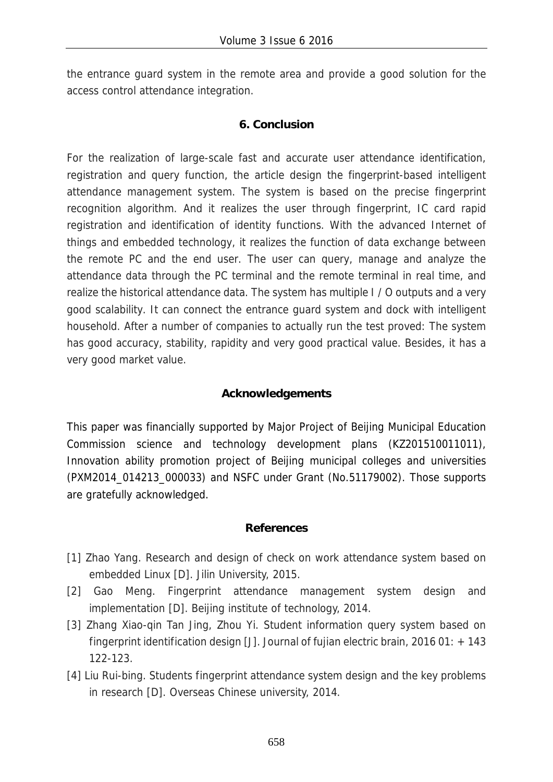the entrance guard system in the remote area and provide a good solution for the access control attendance integration.

## **6. Conclusion**

For the realization of large-scale fast and accurate user attendance identification, registration and query function, the article design the fingerprint-based intelligent attendance management system. The system is based on the precise fingerprint recognition algorithm. And it realizes the user through fingerprint, IC card rapid registration and identification of identity functions. With the advanced Internet of things and embedded technology, it realizes the function of data exchange between the remote PC and the end user. The user can query, manage and analyze the attendance data through the PC terminal and the remote terminal in real time, and realize the historical attendance data. The system has multiple I / O outputs and a very good scalability. It can connect the entrance guard system and dock with intelligent household. After a number of companies to actually run the test proved: The system has good accuracy, stability, rapidity and very good practical value. Besides, it has a very good market value.

## **Acknowledgements**

This paper was financially supported by Major Project of Beijing Municipal Education Commission science and technology development plans (KZ201510011011), Innovation ability promotion project of Beijing municipal colleges and universities (PXM2014\_014213\_000033) and NSFC under Grant (No.51179002). Those supports are gratefully acknowledged.

#### **References**

- [1] Zhao Yang. Research and design of check on work attendance system based on embedded Linux [D]. Jilin University, 2015.
- [2] Gao Meng. Fingerprint attendance management system design and implementation [D]. Beijing institute of technology, 2014.
- [3] Zhang Xiao-qin Tan Jing, Zhou Yi. Student information query system based on fingerprint identification design [J]. Journal of fujian electric brain, 2016 01: + 143 122-123.
- [4] Liu Rui-bing. Students fingerprint attendance system design and the key problems in research [D]. Overseas Chinese university, 2014.